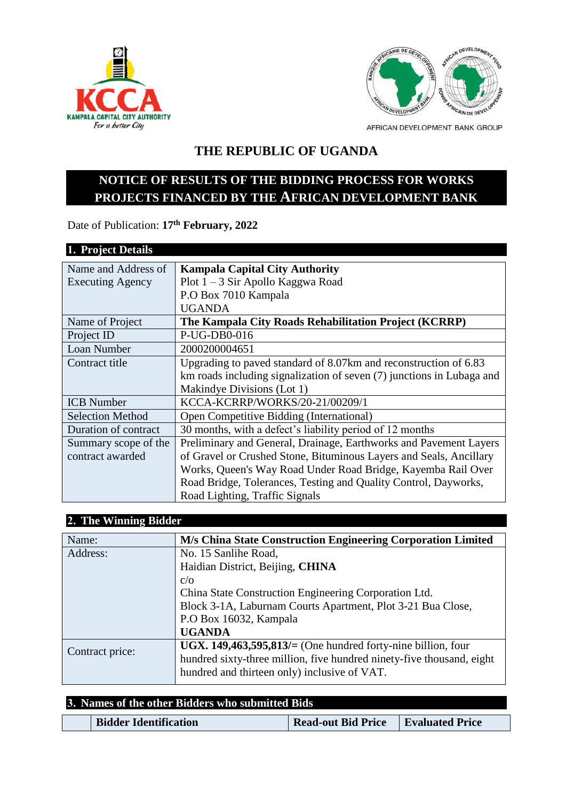



AFRICAN DEVELOPMENT BANK GROUP

## **THE REPUBLIC OF UGANDA**

# **NOTICE OF RESULTS OF THE BIDDING PROCESS FOR WORKS PROJECTS FINANCED BY THE AFRICAN DEVELOPMENT BANK**

Date of Publication: **17th February, 2022**

| 1. Project Details      |                                                                       |  |
|-------------------------|-----------------------------------------------------------------------|--|
| Name and Address of     | <b>Kampala Capital City Authority</b>                                 |  |
| <b>Executing Agency</b> | Plot $1 - 3$ Sir Apollo Kaggwa Road                                   |  |
|                         | P.O Box 7010 Kampala                                                  |  |
|                         | <b>UGANDA</b>                                                         |  |
| Name of Project         | The Kampala City Roads Rehabilitation Project (KCRRP)                 |  |
| Project ID              | P-UG-DB0-016                                                          |  |
| Loan Number             | 2000200004651                                                         |  |
| Contract title          | Upgrading to paved standard of 8.07km and reconstruction of 6.83      |  |
|                         | km roads including signalization of seven (7) junctions in Lubaga and |  |
|                         | Makindye Divisions (Lot 1)                                            |  |
| <b>ICB</b> Number       | KCCA-KCRRP/WORKS/20-21/00209/1                                        |  |
| <b>Selection Method</b> | Open Competitive Bidding (International)                              |  |
| Duration of contract    | 30 months, with a defect's liability period of 12 months              |  |
| Summary scope of the    | Preliminary and General, Drainage, Earthworks and Pavement Layers     |  |
| contract awarded        | of Gravel or Crushed Stone, Bituminous Layers and Seals, Ancillary    |  |
|                         | Works, Queen's Way Road Under Road Bridge, Kayemba Rail Over          |  |
|                         | Road Bridge, Tolerances, Testing and Quality Control, Dayworks,       |  |
|                         | Road Lighting, Traffic Signals                                        |  |

## **2. The Winning Bidder**

| Name:           | M/s China State Construction Engineering Corporation Limited          |
|-----------------|-----------------------------------------------------------------------|
| Address:        | No. 15 Sanlihe Road,                                                  |
|                 | Haidian District, Beijing, CHINA                                      |
|                 | $c/\sigma$                                                            |
|                 | China State Construction Engineering Corporation Ltd.                 |
|                 | Block 3-1A, Laburnam Courts Apartment, Plot 3-21 Bua Close,           |
|                 | P.O Box 16032, Kampala                                                |
|                 | <b>UGANDA</b>                                                         |
| Contract price: | UGX. $149,463,595,813/=(\text{One hundred forty-nine billion, four})$ |
|                 | hundred sixty-three million, five hundred ninety-five thousand, eight |
|                 | hundred and thirteen only) inclusive of VAT.                          |

| 3. Names of the other Bidders who submitted Bids |                           |                        |  |
|--------------------------------------------------|---------------------------|------------------------|--|
| <b>Bidder Identification</b>                     | <b>Read-out Bid Price</b> | <b>Evaluated Price</b> |  |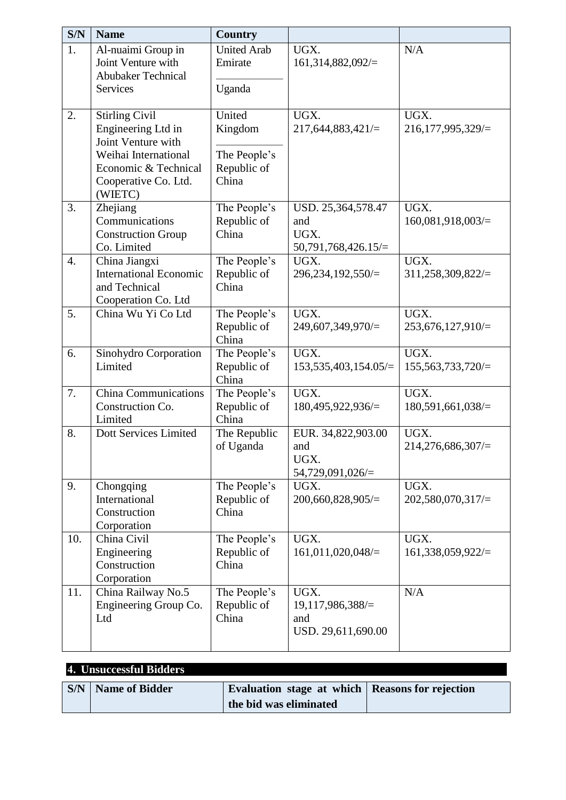| S/N              | <b>Name</b>                                                                                                                                          | <b>Country</b>                                            |                                                          |                             |
|------------------|------------------------------------------------------------------------------------------------------------------------------------------------------|-----------------------------------------------------------|----------------------------------------------------------|-----------------------------|
| 1.               | Al-nuaimi Group in<br>Joint Venture with<br><b>Abubaker Technical</b><br>Services                                                                    | <b>United Arab</b><br>Emirate<br>Uganda                   | UGX.<br>161,314,882,092/=                                | N/A                         |
| 2.               | <b>Stirling Civil</b><br>Engineering Ltd in<br>Joint Venture with<br>Weihai International<br>Economic & Technical<br>Cooperative Co. Ltd.<br>(WIETC) | United<br>Kingdom<br>The People's<br>Republic of<br>China | UGX.<br>$217,644,883,421/=$                              | UGX.<br>$216,177,995,329/=$ |
| 3.               | Zhejiang<br>Communications<br><b>Construction Group</b><br>Co. Limited                                                                               | The People's<br>Republic of<br>China                      | USD. 25,364,578.47<br>and<br>UGX.<br>50,791,768,426.15/= | UGX.<br>160,081,918,003/    |
| $\overline{4}$ . | China Jiangxi<br><b>International Economic</b><br>and Technical<br>Cooperation Co. Ltd                                                               | The People's<br>Republic of<br>China                      | UGX.<br>296,234,192,550/=                                | UGX.<br>$311,258,309,822/=$ |
| 5.               | China Wu Yi Co Ltd                                                                                                                                   | The People's<br>Republic of<br>China                      | UGX.<br>249,607,349,970/=                                | UGX.<br>$253,676,127,910/=$ |
| 6.               | Sinohydro Corporation<br>Limited                                                                                                                     | The People's<br>Republic of<br>China                      | UGX.<br>$153,535,403,154.05/=$                           | UGX.<br>$155,563,733,720/=$ |
| 7.               | <b>China Communications</b><br>Construction Co.<br>Limited                                                                                           | The People's<br>Republic of<br>China                      | UGX.<br>180,495,922,936/=                                | UGX.<br>$180,591,661,038/=$ |
| 8.               | Dott Services Limited                                                                                                                                | The Republic<br>of Uganda                                 | EUR. 34,822,903.00<br>and<br>UGX.<br>54,729,091,026/=    | UGX.<br>$214,276,686,307/=$ |
| 9.               | Chongqing<br>International<br>Construction<br>Corporation                                                                                            | The People's<br>Republic of<br>China                      | UGX.<br>200,660,828,905/=                                | UGX.<br>$202,580,070,317/=$ |
| 10.              | China Civil<br>Engineering<br>Construction<br>Corporation                                                                                            | The People's<br>Republic of<br>China                      | UGX.<br>$161,011,020,048/=$                              | UGX.<br>$161,338,059,922/=$ |
| 11.              | China Railway No.5<br>Engineering Group Co.<br>Ltd                                                                                                   | The People's<br>Republic of<br>China                      | UGX.<br>$19,117,986,388/=$<br>and<br>USD. 29,611,690.00  | N/A                         |

|     | 4. Unsuccessful Bidders |                                                   |  |
|-----|-------------------------|---------------------------------------------------|--|
| S/N | <b>Name of Bidder</b>   | Evaluation stage at which   Reasons for rejection |  |
|     |                         | the bid was eliminated                            |  |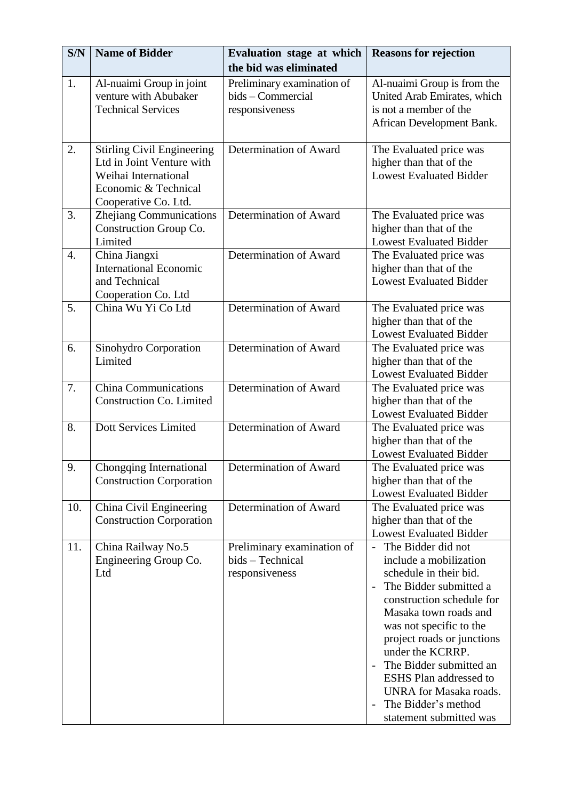| S/N | <b>Name of Bidder</b>                                      | Evaluation stage at which  | <b>Reasons for rejection</b>                              |
|-----|------------------------------------------------------------|----------------------------|-----------------------------------------------------------|
|     |                                                            | the bid was eliminated     |                                                           |
| 1.  | Al-nuaimi Group in joint                                   | Preliminary examination of | Al-nuaimi Group is from the                               |
|     | venture with Abubaker                                      | bids - Commercial          | United Arab Emirates, which                               |
|     | <b>Technical Services</b>                                  | responsiveness             | is not a member of the                                    |
|     |                                                            |                            | African Development Bank.                                 |
|     |                                                            |                            |                                                           |
| 2.  | <b>Stirling Civil Engineering</b>                          | Determination of Award     | The Evaluated price was                                   |
|     | Ltd in Joint Venture with                                  |                            | higher than that of the                                   |
|     | Weihai International                                       |                            | <b>Lowest Evaluated Bidder</b>                            |
|     | Economic & Technical                                       |                            |                                                           |
|     | Cooperative Co. Ltd.                                       | Determination of Award     |                                                           |
| 3.  | <b>Zhejiang Communications</b>                             |                            | The Evaluated price was                                   |
|     | Construction Group Co.<br>Limited                          |                            | higher than that of the<br><b>Lowest Evaluated Bidder</b> |
| 4.  | China Jiangxi                                              | Determination of Award     | The Evaluated price was                                   |
|     | <b>International Economic</b>                              |                            | higher than that of the                                   |
|     | and Technical                                              |                            | <b>Lowest Evaluated Bidder</b>                            |
|     | Cooperation Co. Ltd                                        |                            |                                                           |
| 5.  | China Wu Yi Co Ltd                                         | Determination of Award     | The Evaluated price was                                   |
|     |                                                            |                            | higher than that of the                                   |
|     |                                                            |                            | <b>Lowest Evaluated Bidder</b>                            |
| 6.  | Sinohydro Corporation                                      | Determination of Award     | The Evaluated price was                                   |
|     | Limited                                                    |                            | higher than that of the                                   |
|     |                                                            |                            | <b>Lowest Evaluated Bidder</b>                            |
| 7.  | <b>China Communications</b>                                | Determination of Award     | The Evaluated price was                                   |
|     | <b>Construction Co. Limited</b>                            |                            | higher than that of the                                   |
|     |                                                            |                            | <b>Lowest Evaluated Bidder</b>                            |
| 8.  | Dott Services Limited                                      | Determination of Award     | The Evaluated price was                                   |
|     |                                                            |                            | higher than that of the<br><b>Lowest Evaluated Bidder</b> |
| 9.  |                                                            | Determination of Award     | The Evaluated price was                                   |
|     | Chongqing International<br><b>Construction Corporation</b> |                            | higher than that of the                                   |
|     |                                                            |                            | <b>Lowest Evaluated Bidder</b>                            |
| 10. | China Civil Engineering                                    | Determination of Award     | The Evaluated price was                                   |
|     | <b>Construction Corporation</b>                            |                            | higher than that of the                                   |
|     |                                                            |                            | <b>Lowest Evaluated Bidder</b>                            |
| 11. | China Railway No.5                                         | Preliminary examination of | The Bidder did not<br>$\equiv$                            |
|     | Engineering Group Co.                                      | bids - Technical           | include a mobilization                                    |
|     | Ltd                                                        | responsiveness             | schedule in their bid.                                    |
|     |                                                            |                            | The Bidder submitted a                                    |
|     |                                                            |                            | construction schedule for                                 |
|     |                                                            |                            | Masaka town roads and                                     |
|     |                                                            |                            | was not specific to the                                   |
|     |                                                            |                            | project roads or junctions                                |
|     |                                                            |                            | under the KCRRP.                                          |
|     |                                                            |                            | The Bidder submitted an                                   |
|     |                                                            |                            | ESHS Plan addressed to<br>UNRA for Masaka roads.          |
|     |                                                            |                            | The Bidder's method                                       |
|     |                                                            |                            | statement submitted was                                   |
|     |                                                            |                            |                                                           |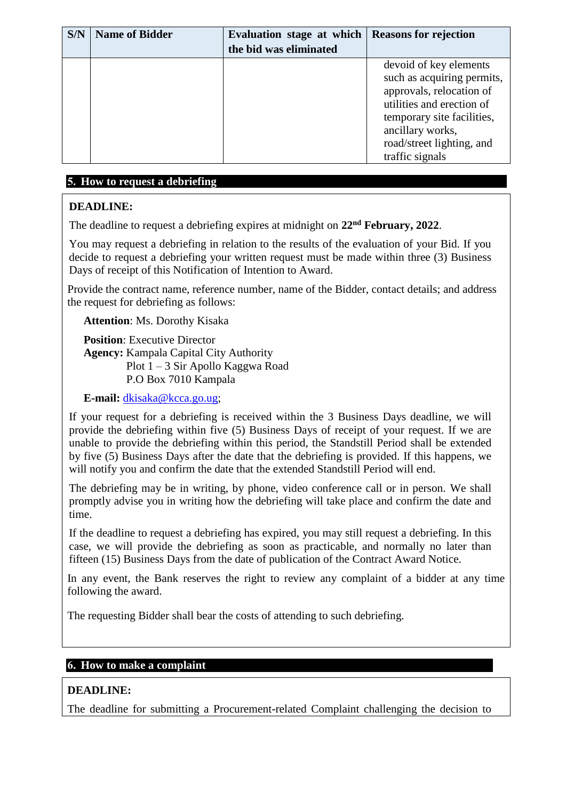| S/N | <b>Name of Bidder</b> | Evaluation stage at which   Reasons for rejection |                            |
|-----|-----------------------|---------------------------------------------------|----------------------------|
|     |                       | the bid was eliminated                            |                            |
|     |                       |                                                   | devoid of key elements     |
|     |                       |                                                   | such as acquiring permits, |
|     |                       |                                                   | approvals, relocation of   |
|     |                       |                                                   | utilities and erection of  |
|     |                       |                                                   | temporary site facilities, |
|     |                       |                                                   | ancillary works,           |
|     |                       |                                                   | road/street lighting, and  |
|     |                       |                                                   | traffic signals            |

#### **5. How to request a debriefing**

### **DEADLINE:**

The deadline to request a debriefing expires at midnight on **22 nd February, 2022**.

You may request a debriefing in relation to the results of the evaluation of your Bid. If you decide to request a debriefing your written request must be made within three (3) Business Days of receipt of this Notification of Intention to Award.

Provide the contract name, reference number, name of the Bidder, contact details; and address the request for debriefing as follows:

**Attention**: Ms. Dorothy Kisaka

**Position**: Executive Director **Agency:** Kampala Capital City Authority Plot 1 – 3 Sir Apollo Kaggwa Road P.O Box 7010 Kampala

**E-mail:** [dkisaka@kcca.go.ug;](mailto:dkisaka@kcca.go.ug)

If your request for a debriefing is received within the 3 Business Days deadline, we will provide the debriefing within five (5) Business Days of receipt of your request. If we are unable to provide the debriefing within this period, the Standstill Period shall be extended by five (5) Business Days after the date that the debriefing is provided. If this happens, we will notify you and confirm the date that the extended Standstill Period will end.

The debriefing may be in writing, by phone, video conference call or in person. We shall promptly advise you in writing how the debriefing will take place and confirm the date and time.

If the deadline to request a debriefing has expired, you may still request a debriefing. In this case, we will provide the debriefing as soon as practicable, and normally no later than fifteen (15) Business Days from the date of publication of the Contract Award Notice.

In any event, the Bank reserves the right to review any complaint of a bidder at any time following the award.

The requesting Bidder shall bear the costs of attending to such debriefing.

## **6. How to make a complaint**

### **DEADLINE:**

The deadline for submitting a Procurement-related Complaint challenging the decision to